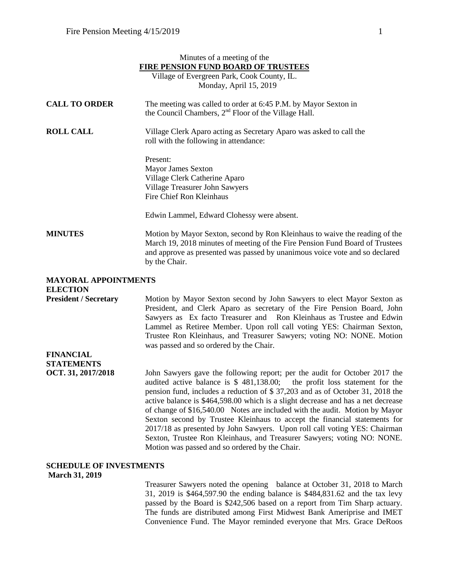|                                                | Minutes of a meeting of the                                                                                                                                                                                                                                 |
|------------------------------------------------|-------------------------------------------------------------------------------------------------------------------------------------------------------------------------------------------------------------------------------------------------------------|
|                                                | <b>FIRE PENSION FUND BOARD OF TRUSTEES</b>                                                                                                                                                                                                                  |
|                                                | Village of Evergreen Park, Cook County, IL.                                                                                                                                                                                                                 |
|                                                | Monday, April 15, 2019                                                                                                                                                                                                                                      |
| <b>CALL TO ORDER</b>                           | The meeting was called to order at 6:45 P.M. by Mayor Sexton in<br>the Council Chambers, 2 <sup>nd</sup> Floor of the Village Hall.                                                                                                                         |
| <b>ROLL CALL</b>                               | Village Clerk Aparo acting as Secretary Aparo was asked to call the<br>roll with the following in attendance:                                                                                                                                               |
|                                                | Present:                                                                                                                                                                                                                                                    |
|                                                | <b>Mayor James Sexton</b>                                                                                                                                                                                                                                   |
|                                                | Village Clerk Catherine Aparo                                                                                                                                                                                                                               |
|                                                | Village Treasurer John Sawyers                                                                                                                                                                                                                              |
|                                                | Fire Chief Ron Kleinhaus                                                                                                                                                                                                                                    |
|                                                | Edwin Lammel, Edward Clohessy were absent.                                                                                                                                                                                                                  |
| <b>MINUTES</b>                                 | Motion by Mayor Sexton, second by Ron Kleinhaus to waive the reading of the<br>March 19, 2018 minutes of meeting of the Fire Pension Fund Board of Trustees<br>and approve as presented was passed by unanimous voice vote and so declared<br>by the Chair. |
| <b>MAYORAL APPOINTMENTS</b><br><b>ELECTION</b> |                                                                                                                                                                                                                                                             |
| <b>President / Secretary</b>                   | Motion by Mayor Sexton second by John Sawyers to elect Mayor Sexton as<br>Dresident and Clerk Apero as secretary of the Eiro Depaion Doord, John                                                                                                            |

President, and Clerk Aparo as secretary of the Fire Pension Board, John Sawyers as Ex facto Treasurer and Ron Kleinhaus as Trustee and Edwin Lammel as Retiree Member. Upon roll call voting YES: Chairman Sexton, Trustee Ron Kleinhaus, and Treasurer Sawyers; voting NO: NONE. Motion was passed and so ordered by the Chair.

**FINANCIAL STATEMENTS** 

**OCT. 31, 2017/2018** John Sawyers gave the following report; per the audit for October 2017 the audited active balance is \$ 481,138.00; the profit loss statement for the pension fund, includes a reduction of \$ 37,203 and as of October 31, 2018 the active balance is \$464,598.00 which is a slight decrease and has a net decrease of change of \$16,540.00 Notes are included with the audit. Motion by Mayor Sexton second by Trustee Kleinhaus to accept the financial statements for 2017/18 as presented by John Sawyers. Upon roll call voting YES: Chairman Sexton, Trustee Ron Kleinhaus, and Treasurer Sawyers; voting NO: NONE. Motion was passed and so ordered by the Chair.

## **SCHEDULE OF INVESTMENTS**

**March 31, 2019**

Treasurer Sawyers noted the opening balance at October 31, 2018 to March 31, 2019 is \$464,597.90 the ending balance is \$484,831.62 and the tax levy passed by the Board is \$242,506 based on a report from Tim Sharp actuary. The funds are distributed among First Midwest Bank Ameriprise and IMET Convenience Fund. The Mayor reminded everyone that Mrs. Grace DeRoos